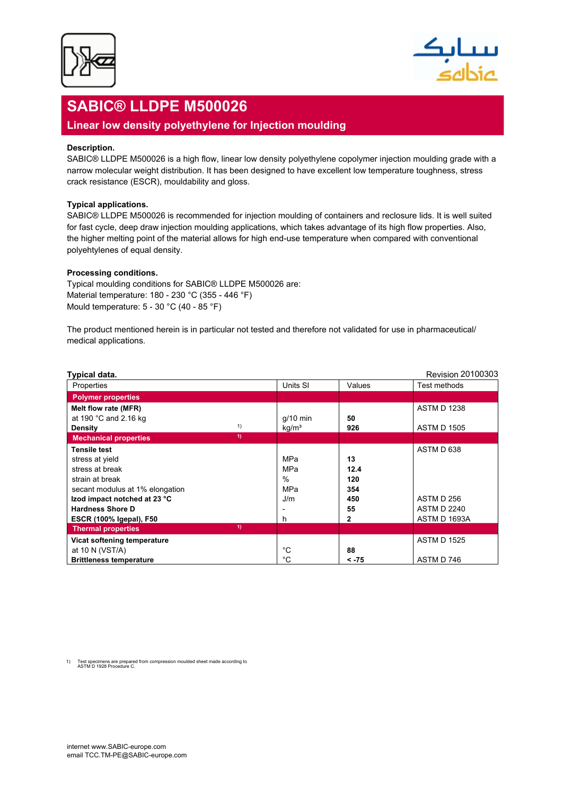



# **SABIC® LLDPE M500026**

## **Linear low density polyethylene for Injection moulding**

#### **Description.**

SABIC® LLDPE M500026 is a high flow, linear low density polyethylene copolymer injection moulding grade with a narrow molecular weight distribution. It has been designed to have excellent low temperature toughness, stress crack resistance (ESCR), mouldability and gloss.

#### **Typical applications.**

SABIC® LLDPE M500026 is recommended for injection moulding of containers and reclosure lids. It is well suited for fast cycle, deep draw injection moulding applications, which takes advantage of its high flow properties. Also, the higher melting point of the material allows for high end-use temperature when compared with conventional polyehtylenes of equal density.

#### **Processing conditions.**

Typical moulding conditions for SABIC® LLDPE M500026 are: Material temperature: 180 - 230 °C (355 - 446 °F) Mould temperature: 5 - 30 °C (40 - 85 °F)

The product mentioned herein is in particular not tested and therefore not validated for use in pharmaceutical/ medical applications.

| Typical data.                      |                   |         | <b>Revision 20100303</b> |
|------------------------------------|-------------------|---------|--------------------------|
| Properties                         | Units SI          | Values  | Test methods             |
| <b>Polymer properties</b>          |                   |         |                          |
| Melt flow rate (MFR)               |                   |         | <b>ASTM D 1238</b>       |
| at 190 $^{\circ}$ C and 2.16 kg    | $q/10$ min        | 50      |                          |
| 1)<br><b>Density</b>               | kg/m <sup>3</sup> | 926     | <b>ASTM D 1505</b>       |
| 1)<br><b>Mechanical properties</b> |                   |         |                          |
| Tensile test                       |                   |         | ASTM D 638               |
| stress at yield                    | MPa               | 13      |                          |
| stress at break                    | MPa               | 12.4    |                          |
| strain at break                    | $\%$              | 120     |                          |
| secant modulus at 1% elongation    | MPa               | 354     |                          |
| Izod impact notched at 23 °C       | J/m               | 450     | ASTM D 256               |
| <b>Hardness Shore D</b>            |                   | 55      | <b>ASTM D 2240</b>       |
| <b>ESCR (100% Igepal), F50</b>     | h                 | 2       | ASTM D 1693A             |
| 1)<br><b>Thermal properties</b>    |                   |         |                          |
| Vicat softening temperature        |                   |         | <b>ASTM D 1525</b>       |
| at 10 N (VST/A)                    | °C                | 88      |                          |
| <b>Brittleness temperature</b>     | °C                | $< -75$ | ASTM D 746               |

1) Test specimens are prepared from compression moulded sheet made according to ASTM D 1928 Procedure C.